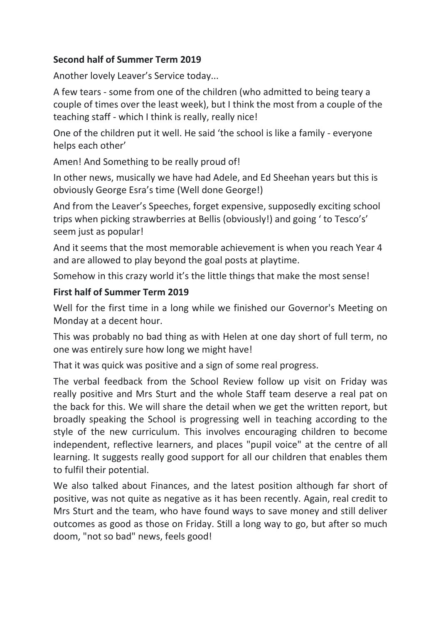## **Second half of Summer Term 2019**

Another lovely Leaver's Service today...

A few tears - some from one of the children (who admitted to being teary a couple of times over the least week), but I think the most from a couple of the teaching staff - which I think is really, really nice!

One of the children put it well. He said 'the school is like a family - everyone helps each other'

Amen! And Something to be really proud of!

In other news, musically we have had Adele, and Ed Sheehan years but this is obviously George Esra's time (Well done George!)

And from the Leaver's Speeches, forget expensive, supposedly exciting school trips when picking strawberries at Bellis (obviously!) and going ' to Tesco's' seem just as popular!

And it seems that the most memorable achievement is when you reach Year 4 and are allowed to play beyond the goal posts at playtime.

Somehow in this crazy world it's the little things that make the most sense!

## **First half of Summer Term 2019**

Well for the first time in a long while we finished our Governor's Meeting on Monday at a decent hour.

This was probably no bad thing as with Helen at one day short of full term, no one was entirely sure how long we might have!

That it was quick was positive and a sign of some real progress.

The verbal feedback from the School Review follow up visit on Friday was really positive and Mrs Sturt and the whole Staff team deserve a real pat on the back for this. We will share the detail when we get the written report, but broadly speaking the School is progressing well in teaching according to the style of the new curriculum. This involves encouraging children to become independent, reflective learners, and places "pupil voice" at the centre of all learning. It suggests really good support for all our children that enables them to fulfil their potential.

We also talked about Finances, and the latest position although far short of positive, was not quite as negative as it has been recently. Again, real credit to Mrs Sturt and the team, who have found ways to save money and still deliver outcomes as good as those on Friday. Still a long way to go, but after so much doom, "not so bad" news, feels good!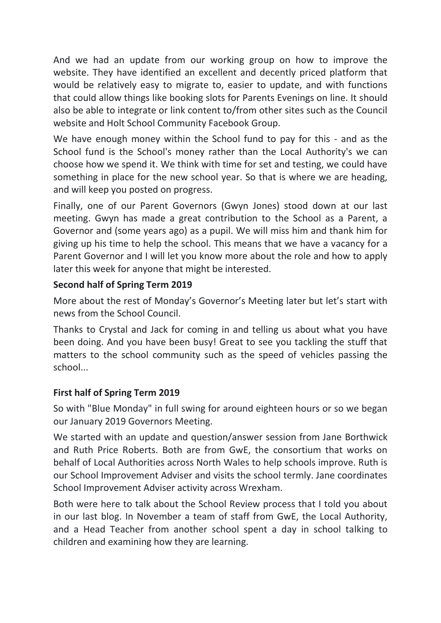And we had an update from our working group on how to improve the website. They have identified an excellent and decently priced platform that would be relatively easy to migrate to, easier to update, and with functions that could allow things like booking slots for Parents Evenings on line. It should also be able to integrate or link content to/from other sites such as the Council website and Holt School Community Facebook Group.

We have enough money within the School fund to pay for this - and as the School fund is the School's money rather than the Local Authority's we can choose how we spend it. We think with time for set and testing, we could have something in place for the new school year. So that is where we are heading, and will keep you posted on progress.

Finally, one of our Parent Governors (Gwyn Jones) stood down at our last meeting. Gwyn has made a great contribution to the School as a Parent, a Governor and (some years ago) as a pupil. We will miss him and thank him for giving up his time to help the school. This means that we have a vacancy for a Parent Governor and I will let you know more about the role and how to apply later this week for anyone that might be interested.

# **Second half of Spring Term 2019**

More about the rest of Monday's Governor's Meeting later but let's start with news from the School Council.

Thanks to Crystal and Jack for coming in and telling us about what you have been doing. And you have been busy! Great to see you tackling the stuff that matters to the school community such as the speed of vehicles passing the school...

# **First half of Spring Term 2019**

So with "Blue Monday" in full swing for around eighteen hours or so we began our January 2019 Governors Meeting.

We started with an update and question/answer session from Jane Borthwick and Ruth Price Roberts. Both are from GwE, the consortium that works on behalf of Local Authorities across North Wales to help schools improve. Ruth is our School Improvement Adviser and visits the school termly. Jane coordinates School Improvement Adviser activity across Wrexham.

Both were here to talk about the School Review process that I told you about in our last blog. In November a team of staff from GwE, the Local Authority, and a Head Teacher from another school spent a day in school talking to children and examining how they are learning.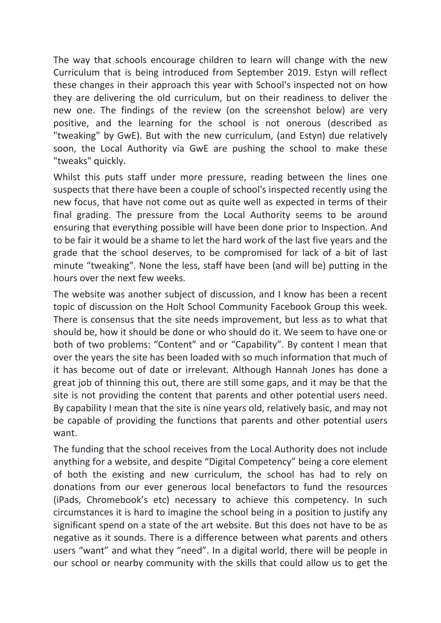The way that schools encourage children to learn will change with the new Curriculum that is being introduced from September 2019. Estyn will reflect these changes in their approach this year with School's inspected not on how they are delivering the old curriculum, but on their readiness to deliver the new one. The findings of the review (on the screenshot below) are very positive, and the learning for the school is not onerous (described as "tweaking" by GwE). But with the new curriculum, (and Estyn) due relatively soon, the Local Authority via GwE are pushing the school to make these "tweaks" quickly.

Whilst this puts staff under more pressure, reading between the lines one suspects that there have been a couple of school's inspected recently using the new focus, that have not come out as quite well as expected in terms of their final grading. The pressure from the Local Authority seems to be around ensuring that everything possible will have been done prior to Inspection. And to be fair it would be a shame to let the hard work of the last five years and the grade that the school deserves, to be compromised for lack of a bit of last minute "tweaking". None the less, staff have been (and will be) putting in the hours over the next few weeks.

The website was another subject of discussion, and I know has been a recent topic of discussion on the Holt School Community Facebook Group this week. There is consensus that the site needs improvement, but less as to what that should be, how it should be done or who should do it. We seem to have one or both of two problems: "Content" and or "Capability". By content I mean that over the years the site has been loaded with so much information that much of it has become out of date or irrelevant. Although Hannah Jones has done a great job of thinning this out, there are still some gaps, and it may be that the site is not providing the content that parents and other potential users need. By capability I mean that the site is nine years old, relatively basic, and may not be capable of providing the functions that parents and other potential users want.

The funding that the school receives from the Local Authority does not include anything for a website, and despite "Digital Competency" being a core element of both the existing and new curriculum, the school has had to rely on donations from our ever generous local benefactors to fund the resources (iPads, Chromebook's etc) necessary to achieve this competency. In such circumstances it is hard to imagine the school being in a position to justify any significant spend on a state of the art website. But this does not have to be as negative as it sounds. There is a difference between what parents and others users "want" and what they "need". In a digital world, there will be people in our school or nearby community with the skills that could allow us to get the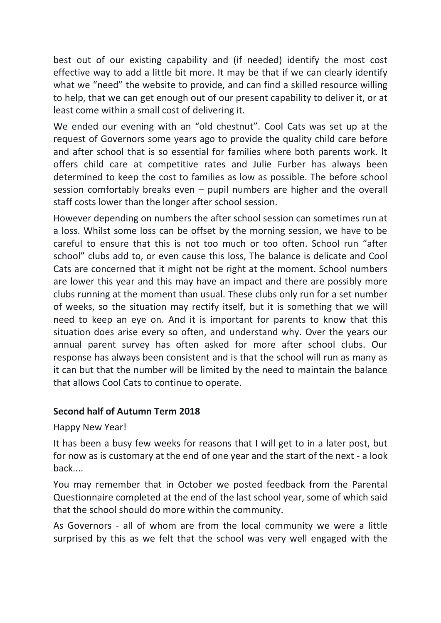best out of our existing capability and (if needed) identify the most cost effective way to add a little bit more. It may be that if we can clearly identify what we "need" the website to provide, and can find a skilled resource willing to help, that we can get enough out of our present capability to deliver it, or at least come within a small cost of delivering it.

We ended our evening with an "old chestnut". Cool Cats was set up at the request of Governors some years ago to provide the quality child care before and after school that is so essential for families where both parents work. It offers child care at competitive rates and Julie Furber has always been determined to keep the cost to families as low as possible. The before school session comfortably breaks even – pupil numbers are higher and the overall staff costs lower than the longer after school session.

However depending on numbers the after school session can sometimes run at a loss. Whilst some loss can be offset by the morning session, we have to be careful to ensure that this is not too much or too often. School run "after school" clubs add to, or even cause this loss, The balance is delicate and Cool Cats are concerned that it might not be right at the moment. School numbers are lower this year and this may have an impact and there are possibly more clubs running at the moment than usual. These clubs only run for a set number of weeks, so the situation may rectify itself, but it is something that we will need to keep an eye on. And it is important for parents to know that this situation does arise every so often, and understand why. Over the years our annual parent survey has often asked for more after school clubs. Our response has always been consistent and is that the school will run as many as it can but that the number will be limited by the need to maintain the balance that allows Cool Cats to continue to operate.

## **Second half of Autumn Term 2018**

## Happy New Year!

It has been a busy few weeks for reasons that I will get to in a later post, but for now as is customary at the end of one year and the start of the next - a look back....

You may remember that in October we posted feedback from the Parental Questionnaire completed at the end of the last school year, some of which said that the school should do more within the community.

As Governors - all of whom are from the local community we were a little surprised by this as we felt that the school was very well engaged with the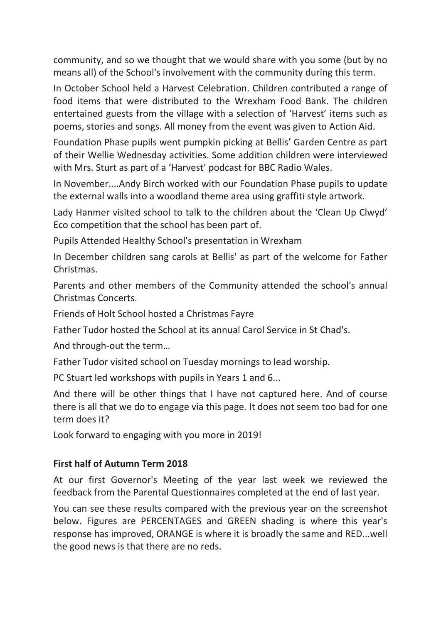community, and so we thought that we would share with you some (but by no means all) of the School's involvement with the community during this term.

In October School held a Harvest Celebration. Children contributed a range of food items that were distributed to the Wrexham Food Bank. The children entertained guests from the village with a selection of 'Harvest' items such as poems, stories and songs. All money from the event was given to Action Aid.

Foundation Phase pupils went pumpkin picking at Bellis' Garden Centre as part of their Wellie Wednesday activities. Some addition children were interviewed with Mrs. Sturt as part of a 'Harvest' podcast for BBC Radio Wales.

In November....Andy Birch worked with our Foundation Phase pupils to update the external walls into a woodland theme area using graffiti style artwork.

Lady Hanmer visited school to talk to the children about the 'Clean Up Clwyd' Eco competition that the school has been part of.

Pupils Attended Healthy School's presentation in Wrexham

In December children sang carols at Bellis' as part of the welcome for Father Christmas.

Parents and other members of the Community attended the school's annual Christmas Concerts.

Friends of Holt School hosted a Christmas Fayre

Father Tudor hosted the School at its annual Carol Service in St Chad's.

And through-out the term…

Father Tudor visited school on Tuesday mornings to lead worship.

PC Stuart led workshops with pupils in Years 1 and 6...

And there will be other things that I have not captured here. And of course there is all that we do to engage via this page. It does not seem too bad for one term does it?

Look forward to engaging with you more in 2019!

## **First half of Autumn Term 2018**

At our first Governor's Meeting of the year last week we reviewed the feedback from the Parental Questionnaires completed at the end of last year.

You can see these results compared with the previous year on the screenshot below. Figures are PERCENTAGES and GREEN shading is where this year's response has improved, ORANGE is where it is broadly the same and RED...well the good news is that there are no reds.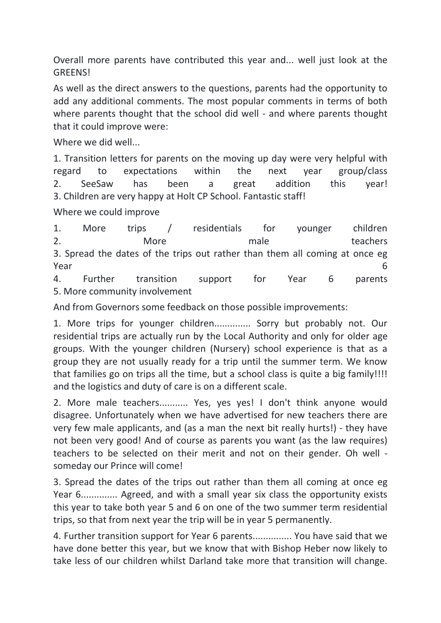Overall more parents have contributed this year and... well just look at the **GREENS!** 

As well as the direct answers to the questions, parents had the opportunity to add any additional comments. The most popular comments in terms of both where parents thought that the school did well - and where parents thought that it could improve were:

Where we did well...

1. Transition letters for parents on the moving up day were very helpful with regard to expectations within the next year group/class 2. SeeSaw has been a great addition this year! 3. Children are very happy at Holt CP School. Fantastic staff!

Where we could improve

1. More trips / residentials for younger children 2. Nore More male teachers 3. Spread the dates of the trips out rather than them all coming at once eg **Preading the Contract of Contract Contract of Contract Contract Contract Contract Contract Contract Contract Contract Contract Contract Contract Contract Contract Contract Contract Contract Contract Contract Contract Cont** 4. Further transition support for Year 6 parents

5. More community involvement

And from Governors some feedback on those possible improvements:

1. More trips for younger children.............. Sorry but probably not. Our residential trips are actually run by the Local Authority and only for older age groups. With the younger children (Nursery) school experience is that as a group they are not usually ready for a trip until the summer term. We know that families go on trips all the time, but a school class is quite a big family!!!! and the logistics and duty of care is on a different scale.

2. More male teachers........... Yes, yes yes! I don't think anyone would disagree. Unfortunately when we have advertised for new teachers there are very few male applicants, and (as a man the next bit really hurts!) - they have not been very good! And of course as parents you want (as the law requires) teachers to be selected on their merit and not on their gender. Oh well someday our Prince will come!

3. Spread the dates of the trips out rather than them all coming at once eg Year 6.............. Agreed, and with a small year six class the opportunity exists this year to take both year 5 and 6 on one of the two summer term residential trips, so that from next year the trip will be in year 5 permanently.

4. Further transition support for Year 6 parents............... You have said that we have done better this year, but we know that with Bishop Heber now likely to take less of our children whilst Darland take more that transition will change.